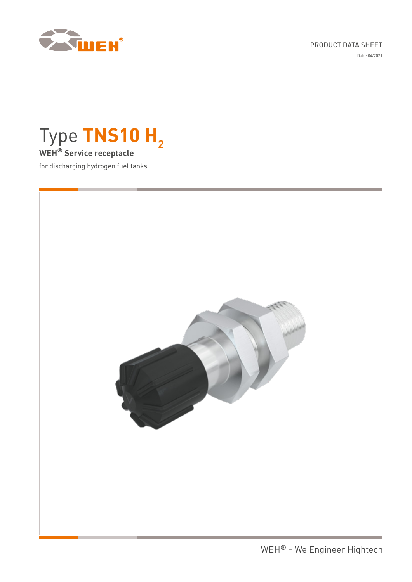

## PRODUCT DATA SHEET

Date: 04/2021

# Type TNS10 H<sub>2</sub> **WEH® Service receptacle**

for discharging hydrogen fuel tanks

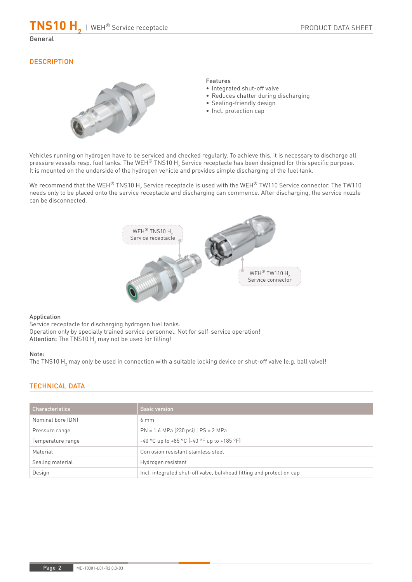**TNS10 H**<sub>2</sub> | WEH® Service receptacle

#### General

## **DESCRIPTION**



#### Features

- Integrated shut-off valve
- Reduces chatter during discharging
- Sealing-friendly design
- Incl. protection cap

Vehicles running on hydrogen have to be serviced and checked regularly. To achieve this, it is necessary to discharge all pressure vessels resp. fuel tanks. The WEH $^{\circledast}$  TNS10 H $_2$  Service receptacle has been designed for this specific purpose. It is mounted on the underside of the hydrogen vehicle and provides simple discharging of the fuel tank.

We recommend that the WEH® TNS10 H<sub>2</sub> Service receptacle is used with the WEH® TW110 Service connector. The TW110 needs only to be placed onto the service receptacle and discharging can commence. After discharging, the service nozzle can be disconnected.



#### Application

Service receptacle for discharging hydrogen fuel tanks. Operation only by specially trained service personnel. Not for self-service operation!  $\mathsf{Attention}\text{:}$  The TNS10  $\mathsf{H}_2$  may not be used for filling!

#### Note:

The TNS10 H<sub>2</sub> may only be used in connection with a suitable locking device or shut-off valve (e.g. ball valve)!

## TECHNICAL DATA

| <b>Characteristics</b> | <b>Basic version</b>                                                 |
|------------------------|----------------------------------------------------------------------|
| Nominal bore (DN)      | $6 \text{ mm}$                                                       |
| Pressure range         | $PN = 1.6 MPa (230 psi)   PS = 2 MPa$                                |
| Temperature range      | $-40$ °C up to $+85$ °C (-40 °F up to $+185$ °F)                     |
| Material               | Corrosion resistant stainless steel                                  |
| Sealing material       | Hydrogen resistant                                                   |
| Design                 | Incl. integrated shut-off valve, bulkhead fitting and protection cap |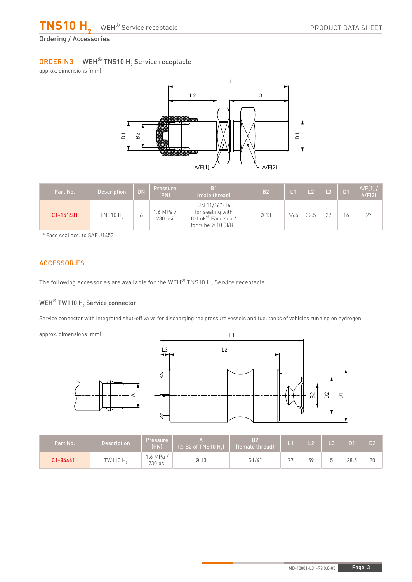

## ORDERING | WEH® TNS10 H<sub>2</sub> Service receptacle

approx. dimensions (mm)



| Part No.  | <b>Description</b> | DN. | <b>Pressure</b><br>(PN) | B <sub>1</sub><br>(male thread)                                               | <b>B2</b> |      |      |  | $A/F(1)$ /<br>A/F(2) |
|-----------|--------------------|-----|-------------------------|-------------------------------------------------------------------------------|-----------|------|------|--|----------------------|
| C1-151481 | TNS10 $H2$         | O   | 1.6 MPa/<br>$230$ psi   | UN 11/16"-16<br>for sealing with<br>0-Lok® Face seal*<br>for tube Ø 10 (3/8") | $Ø$ 13    | 66.5 | 32.5 |  | 27                   |

\* Face seal acc. to SAE J1453

## **ACCESSORIES**

The following accessories are available for the WEH $^\circ$  TNS10 H $_2$  Service receptacle:

A

## WEH $^{\circledR}$  TW110 H $_{_2}$  Service connector

Service connector with integrated shut-off valve for discharging the pressure vessels and fuel tanks of vehicles running on hydrogen.

approx. dimensions (mm)



| Part No. | <b>Description</b>   | <b>Pressure</b><br>(PN) | $(\triangle$ B2 of TNS10 H. | B2<br>(female thread) | H  |    | L3 |      | D2' |
|----------|----------------------|-------------------------|-----------------------------|-----------------------|----|----|----|------|-----|
| C1-84461 | TW110 H <sub>2</sub> | .6 MPa /<br>$230$ psi   | Ø 13                        | G1/4"                 | 77 | 59 |    | 28.5 | 20  |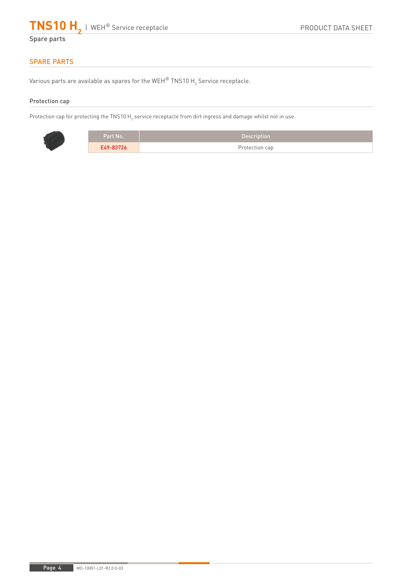

## SPARE PARTS

Various parts are available as spares for the WEH $^\circ$  TNS10 H $_2$  Service receptacle.

#### Protection cap

Protection cap for protecting the TNS10 H<sub>2</sub> service receptacle from dirt ingress and damage whilst not in use.